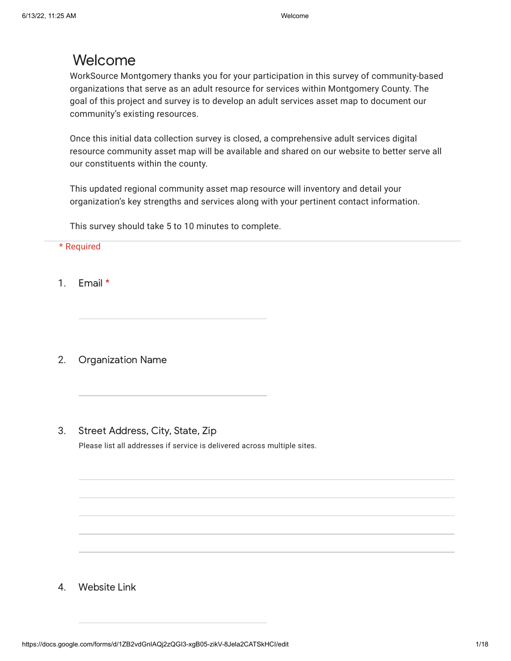# Welcome

WorkSource Montgomery thanks you for your participation in this survey of community-based organizations that serve as an adult resource for services within Montgomery County. The goal of this project and survey is to develop an adult services asset map to document our community's existing resources.

Once this initial data collection survey is closed, a comprehensive adult services digital resource community asset map will be available and shared on our website to better serve all our constituents within the county.

This updated regional community asset map resource will inventory and detail your organization's key strengths and services along with your pertinent contact information.

This survey should take 5 to 10 minutes to complete.

### \* Required

1. Email \*

2. Organization Name

3. Street Address, City, State, Zip

Please list all addresses if service is delivered across multiple sites.

4. Website Link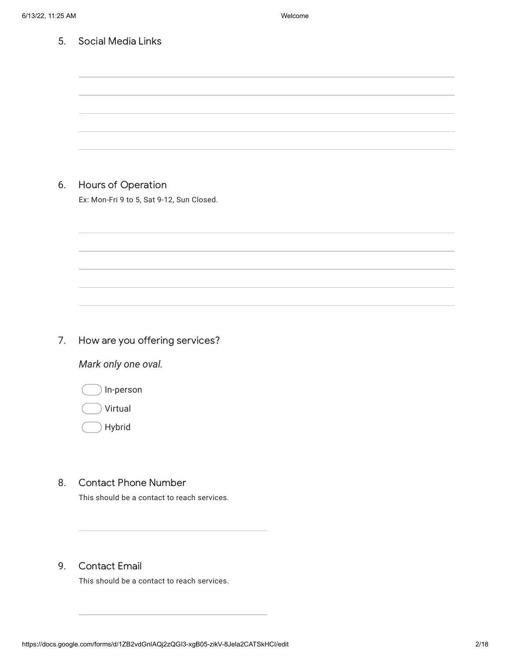| 5. | <b>Social Media Links</b>                                       |
|----|-----------------------------------------------------------------|
|    |                                                                 |
|    |                                                                 |
|    |                                                                 |
|    |                                                                 |
|    |                                                                 |
|    |                                                                 |
| 6. |                                                                 |
|    | Hours of Operation<br>Ex: Mon-Fri 9 to 5, Sat 9-12, Sun Closed. |
|    |                                                                 |
|    |                                                                 |
|    |                                                                 |
|    |                                                                 |
|    |                                                                 |
|    |                                                                 |
|    |                                                                 |
| 7. | How are you offering services?                                  |
|    | Mark only one oval.                                             |
|    |                                                                 |
|    | In-person                                                       |
|    | Virtual                                                         |
|    | Hybrid                                                          |
|    |                                                                 |
|    |                                                                 |
| 8. | <b>Contact Phone Number</b>                                     |
|    | This should be a contact to reach services.                     |
|    |                                                                 |
|    |                                                                 |

## 9. Contact Email

This should be a contact to reach services.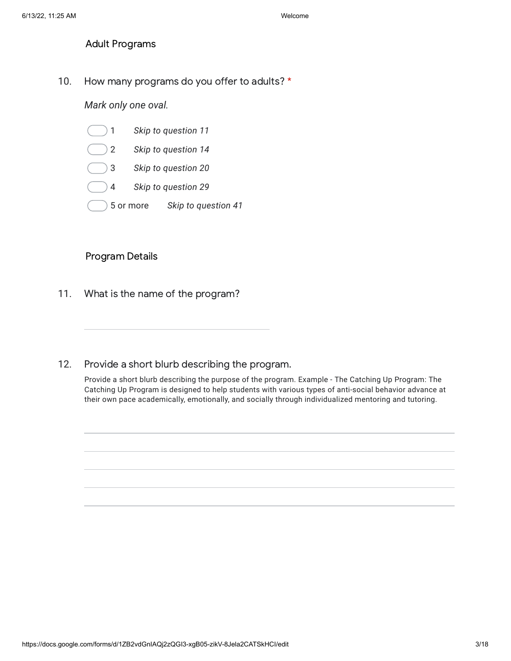Adult Programs

10. How many programs do you offer to adults? \*

*Mark only one oval.*

- 1 *Skip to question 11*
- 2 *Skip to question 14*
- 3 *Skip to question 20*
- 4 *Skip to question 29*
- 5 or more *Skip to question 41*

### Program Details

11. What is the name of the program?

#### 12. Provide a short blurb describing the program.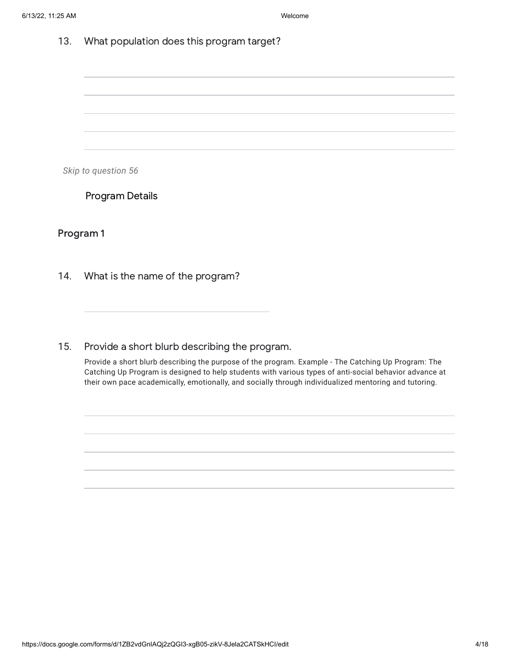*Skip to question 56*

Program Details

Program 1

14. What is the name of the program?

15. Provide a short blurb describing the program.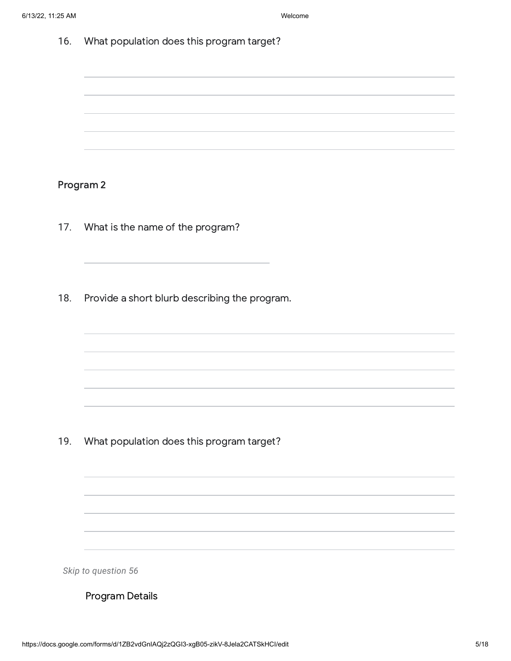Program 2

- 17. What is the name of the program?
- 18. Provide a short blurb describing the program.

19. What population does this program target?

*Skip to question 56*

Program Details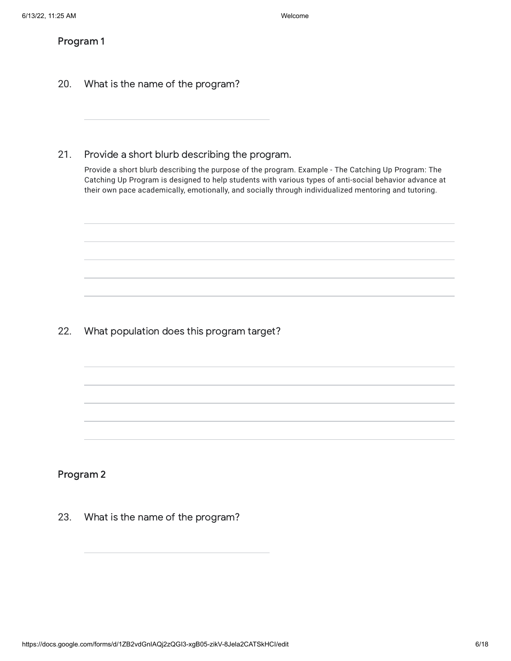### Program 1

- 20. What is the name of the program?
- 21. Provide a short blurb describing the program.

Provide a short blurb describing the purpose of the program. Example - The Catching Up Program: The Catching Up Program is designed to help students with various types of anti-social behavior advance at their own pace academically, emotionally, and socially through individualized mentoring and tutoring.

22. What population does this program target?

### Program 2

23. What is the name of the program?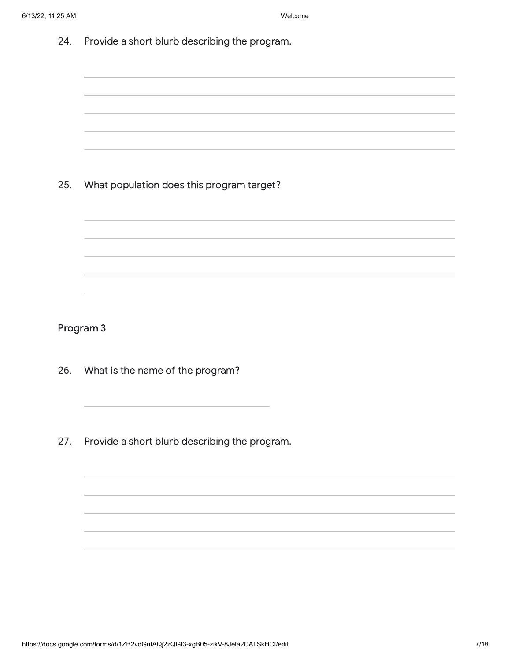| 24. | Provide a short blurb describing the program. |
|-----|-----------------------------------------------|
|     |                                               |
|     |                                               |
| 25. | What population does this program target?     |
|     |                                               |
|     |                                               |
|     | Program 3                                     |
| 26. | What is the name of the program?              |
| 27. | Provide a short blurb describing the program. |
|     |                                               |

https://docs.google.com/forms/d/1ZB2vdGnIAQj2zQGI3-xgB05-zikV-8Jela2CATSkHCl/edit 7/18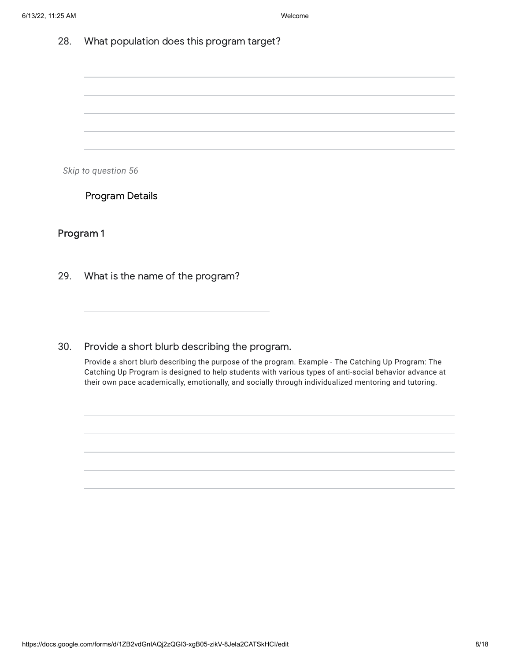*Skip to question 56*

Program Details

Program 1

29. What is the name of the program?

30. Provide a short blurb describing the program.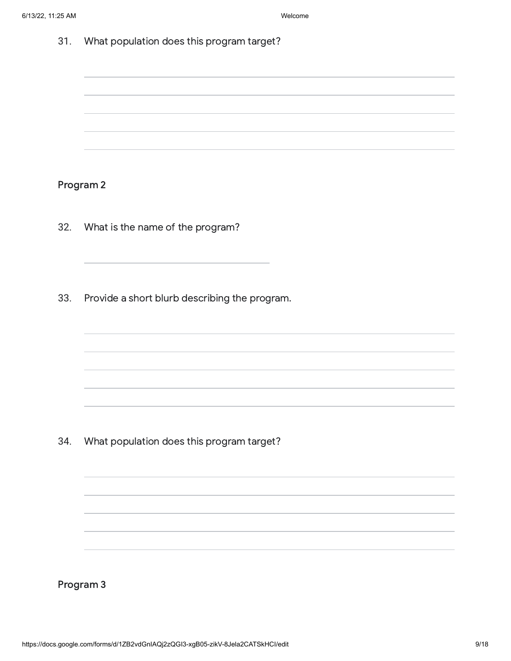Program 2

- 32. What is the name of the program?
- 33. Provide a short blurb describing the program.

34. What population does this program target?

Program 3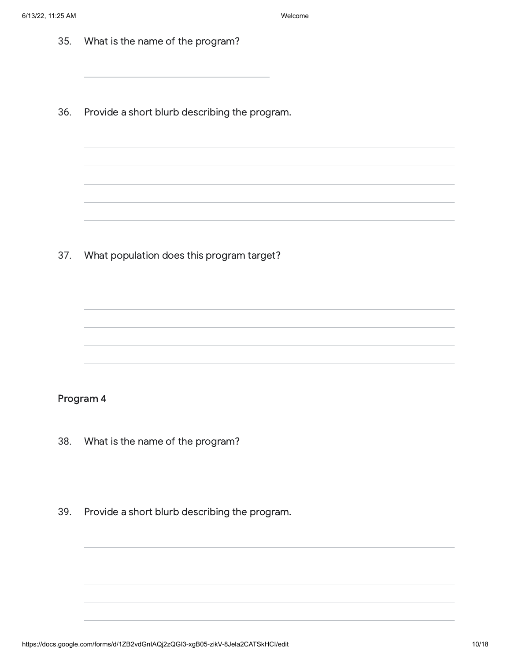| 35. | What is the name of the program?              |
|-----|-----------------------------------------------|
| 36. | Provide a short blurb describing the program. |
|     |                                               |
| 37. | What population does this program target?     |
|     |                                               |
|     |                                               |
|     | Program 4                                     |
| 38. | What is the name of the program?              |
| 39. | Provide a short blurb describing the program. |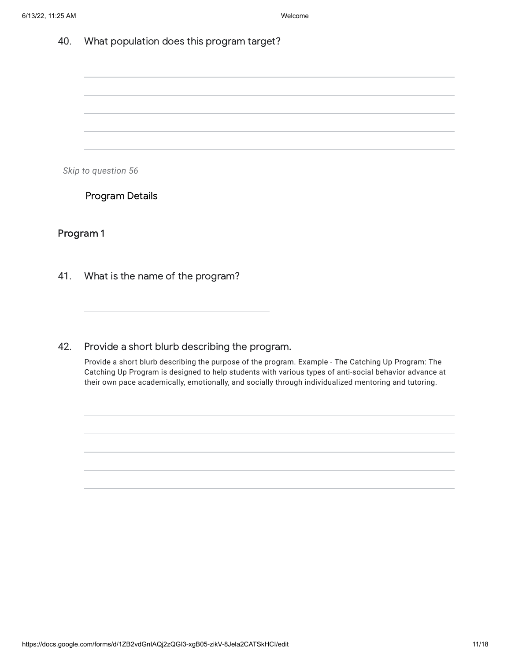*Skip to question 56*

Program Details

Program 1

41. What is the name of the program?

42. Provide a short blurb describing the program.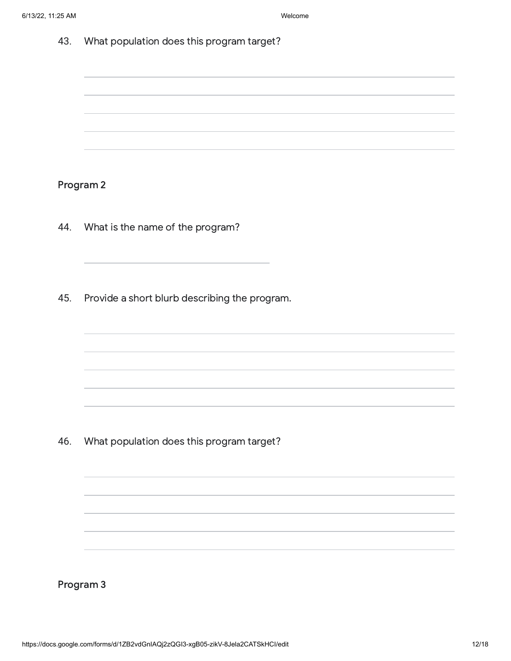Program 2

- 44. What is the name of the program?
- 45. Provide a short blurb describing the program.

46. What population does this program target?

Program 3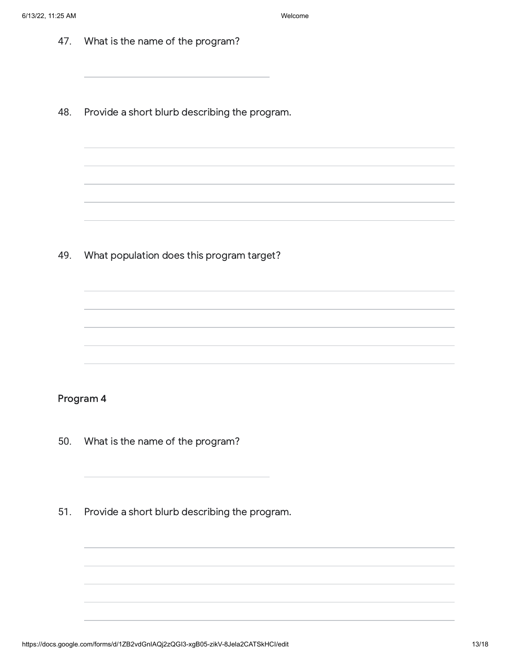| 47.       | What is the name of the program?              |  |  |  |  |  |
|-----------|-----------------------------------------------|--|--|--|--|--|
| 48.       | Provide a short blurb describing the program. |  |  |  |  |  |
|           |                                               |  |  |  |  |  |
| 49.       | What population does this program target?     |  |  |  |  |  |
|           |                                               |  |  |  |  |  |
| Program 4 |                                               |  |  |  |  |  |
| 50.       | What is the name of the program?              |  |  |  |  |  |
| 51.       | Provide a short blurb describing the program. |  |  |  |  |  |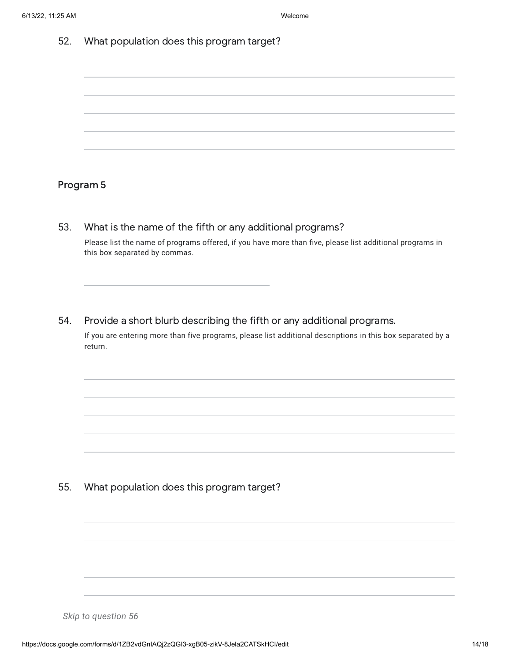### Program 5

53. What is the name of the fifth or any additional programs?

Please list the name of programs offered, if you have more than five, please list additional programs in this box separated by commas.

54. Provide a short blurb describing the fifth or any additional programs.

If you are entering more than five programs, please list additional descriptions in this box separated by a return.

55. What population does this program target?

*Skip to question 56*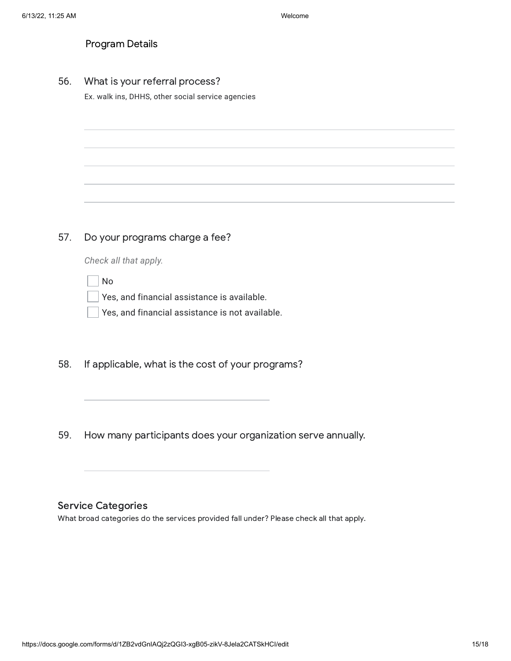| <b>Program Details</b> |  |
|------------------------|--|
|------------------------|--|

56. What is your referral process?

Ex. walk ins, DHHS, other social service agencies

#### 57. Do your programs charge a fee?

*Check all that apply.*

No

Yes, and financial assistance is available.

Yes, and financial assistance is not available.

- 58. If applicable, what is the cost of your programs?
- 59. How many participants does your organization serve annually.

### Service Categories

What broad categories do the services provided fall under? Please check all that apply.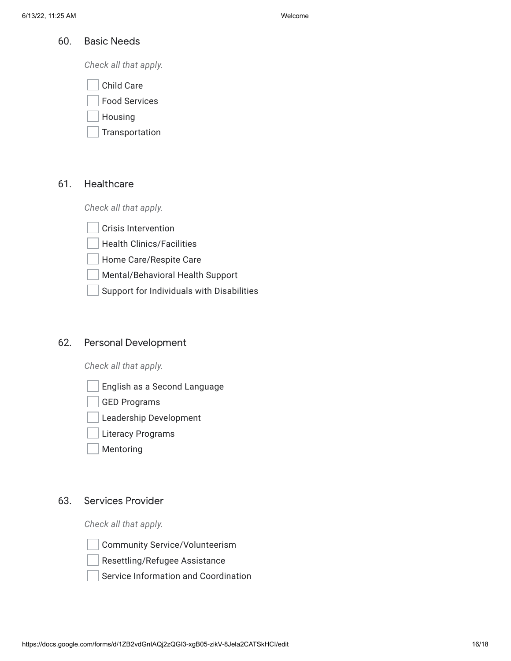#### 60. Basic Needs

*Check all that apply.*

| <b>Child Care</b> |  |
|-------------------|--|
|                   |  |

Food Services

Housing

Transportation

#### 61. **Healthcare**

*Check all that apply.*

Crisis Intervention

Health Clinics/Facilities

Home Care/Respite Care

Mental/Behavioral Health Support

Support for Individuals with Disabilities

#### 62. Personal Development

*Check all that apply.*

English as a Second Language

GED Programs

Leadership Development

- Literacy Programs
- Mentoring

#### 63. Services Provider

*Check all that apply.*



Community Service/Volunteerism



Resettling/Refugee Assistance

Service Information and Coordination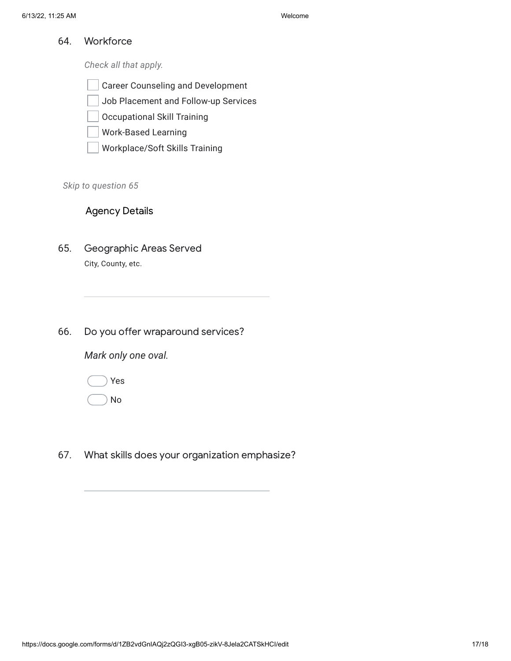64. **Workforce** 

*Check all that apply.*

- Career Counseling and Development
- Job Placement and Follow-up Services
- Occupational Skill Training
- Work-Based Learning
- Workplace/Soft Skills Training

*Skip to question 65*

## Agency Details

- 65. Geographic Areas Served City, County, etc.
- 66. Do you offer wraparound services?

*Mark only one oval.*

Yes

No

67. What skills does your organization emphasize?